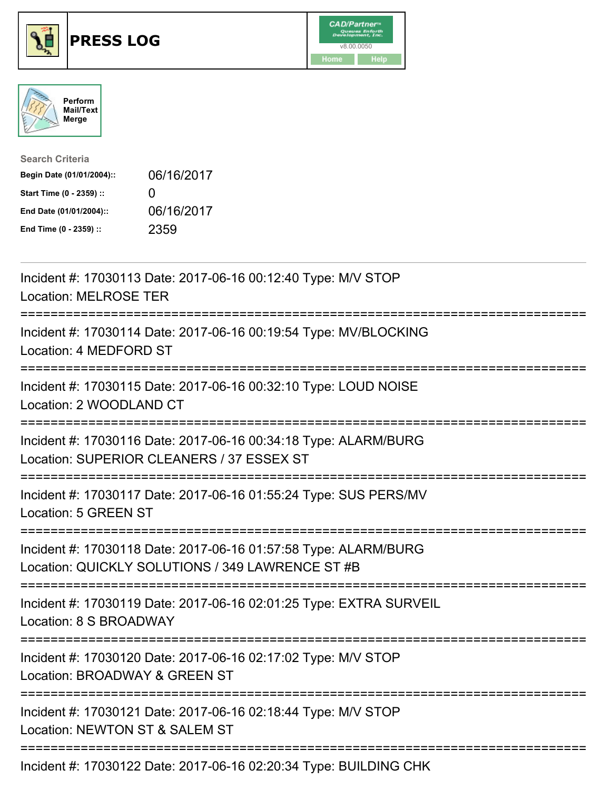





| <b>Search Criteria</b>    |              |
|---------------------------|--------------|
| Begin Date (01/01/2004):: | 06/16/2017   |
| Start Time (0 - 2359) ::  | $\mathbf{U}$ |
| End Date (01/01/2004)::   | 06/16/2017   |
| End Time (0 - 2359) ::    | 2359         |

| Incident #: 17030113 Date: 2017-06-16 00:12:40 Type: M/V STOP<br><b>Location: MELROSE TER</b>                               |
|-----------------------------------------------------------------------------------------------------------------------------|
| Incident #: 17030114 Date: 2017-06-16 00:19:54 Type: MV/BLOCKING<br>Location: 4 MEDFORD ST                                  |
| Incident #: 17030115 Date: 2017-06-16 00:32:10 Type: LOUD NOISE<br>Location: 2 WOODLAND CT                                  |
| Incident #: 17030116 Date: 2017-06-16 00:34:18 Type: ALARM/BURG<br>Location: SUPERIOR CLEANERS / 37 ESSEX ST                |
| Incident #: 17030117 Date: 2017-06-16 01:55:24 Type: SUS PERS/MV<br>Location: 5 GREEN ST                                    |
| Incident #: 17030118 Date: 2017-06-16 01:57:58 Type: ALARM/BURG<br>Location: QUICKLY SOLUTIONS / 349 LAWRENCE ST #B         |
| Incident #: 17030119 Date: 2017-06-16 02:01:25 Type: EXTRA SURVEIL<br>Location: 8 S BROADWAY                                |
| ----------------------<br>Incident #: 17030120 Date: 2017-06-16 02:17:02 Type: M/V STOP<br>Location: BROADWAY & GREEN ST    |
| :=======================<br>Incident #: 17030121 Date: 2017-06-16 02:18:44 Type: M/V STOP<br>Location: NEWTON ST & SALEM ST |
| Incident #: 17030122 Date: 2017-06-16 02:20:34 Type: BUILDING CHK                                                           |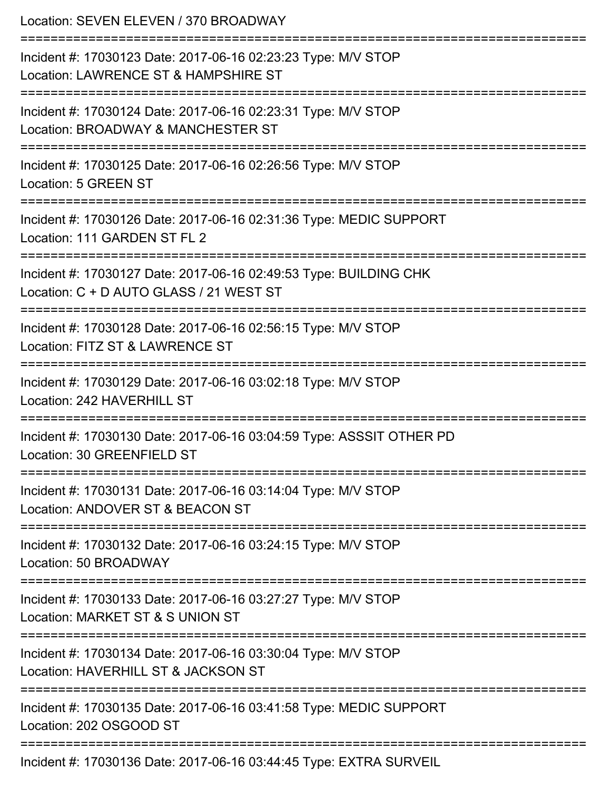| Location: SEVEN ELEVEN / 370 BROADWAY                                                                                                        |
|----------------------------------------------------------------------------------------------------------------------------------------------|
| Incident #: 17030123 Date: 2017-06-16 02:23:23 Type: M/V STOP<br>Location: LAWRENCE ST & HAMPSHIRE ST<br>-----------------------             |
| Incident #: 17030124 Date: 2017-06-16 02:23:31 Type: M/V STOP<br>Location: BROADWAY & MANCHESTER ST                                          |
| Incident #: 17030125 Date: 2017-06-16 02:26:56 Type: M/V STOP<br>Location: 5 GREEN ST                                                        |
| Incident #: 17030126 Date: 2017-06-16 02:31:36 Type: MEDIC SUPPORT<br>Location: 111 GARDEN ST FL 2                                           |
| Incident #: 17030127 Date: 2017-06-16 02:49:53 Type: BUILDING CHK<br>Location: C + D AUTO GLASS / 21 WEST ST<br>:=========================== |
| Incident #: 17030128 Date: 2017-06-16 02:56:15 Type: M/V STOP<br>Location: FITZ ST & LAWRENCE ST                                             |
| Incident #: 17030129 Date: 2017-06-16 03:02:18 Type: M/V STOP<br>Location: 242 HAVERHILL ST                                                  |
| Incident #: 17030130 Date: 2017-06-16 03:04:59 Type: ASSSIT OTHER PD<br>Location: 30 GREENFIELD ST                                           |
| Incident #: 17030131 Date: 2017-06-16 03:14:04 Type: M/V STOP<br>Location: ANDOVER ST & BEACON ST                                            |
| Incident #: 17030132 Date: 2017-06-16 03:24:15 Type: M/V STOP<br>Location: 50 BROADWAY                                                       |
| Incident #: 17030133 Date: 2017-06-16 03:27:27 Type: M/V STOP<br>Location: MARKET ST & S UNION ST                                            |
| Incident #: 17030134 Date: 2017-06-16 03:30:04 Type: M/V STOP<br>Location: HAVERHILL ST & JACKSON ST                                         |
| Incident #: 17030135 Date: 2017-06-16 03:41:58 Type: MEDIC SUPPORT<br>Location: 202 OSGOOD ST                                                |
| Incident #: 17030136 Date: 2017-06-16 03:44:45 Type: EXTRA SURVEIL                                                                           |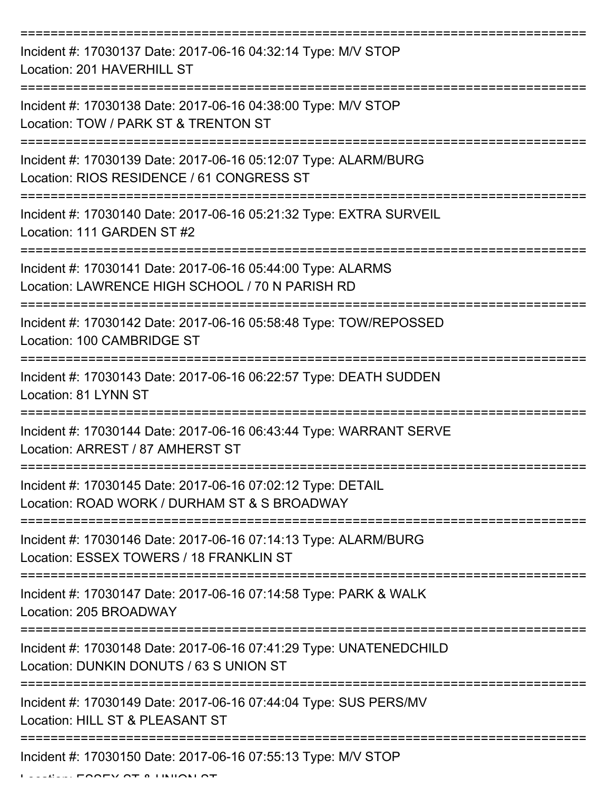| Incident #: 17030137 Date: 2017-06-16 04:32:14 Type: M/V STOP<br>Location: 201 HAVERHILL ST                    |
|----------------------------------------------------------------------------------------------------------------|
| Incident #: 17030138 Date: 2017-06-16 04:38:00 Type: M/V STOP<br>Location: TOW / PARK ST & TRENTON ST          |
| Incident #: 17030139 Date: 2017-06-16 05:12:07 Type: ALARM/BURG<br>Location: RIOS RESIDENCE / 61 CONGRESS ST   |
| Incident #: 17030140 Date: 2017-06-16 05:21:32 Type: EXTRA SURVEIL<br>Location: 111 GARDEN ST #2               |
| Incident #: 17030141 Date: 2017-06-16 05:44:00 Type: ALARMS<br>Location: LAWRENCE HIGH SCHOOL / 70 N PARISH RD |
| Incident #: 17030142 Date: 2017-06-16 05:58:48 Type: TOW/REPOSSED<br>Location: 100 CAMBRIDGE ST                |
| Incident #: 17030143 Date: 2017-06-16 06:22:57 Type: DEATH SUDDEN<br>Location: 81 LYNN ST                      |
| Incident #: 17030144 Date: 2017-06-16 06:43:44 Type: WARRANT SERVE<br>Location: ARREST / 87 AMHERST ST         |
| Incident #: 17030145 Date: 2017-06-16 07:02:12 Type: DETAIL<br>Location: ROAD WORK / DURHAM ST & S BROADWAY    |
| Incident #: 17030146 Date: 2017-06-16 07:14:13 Type: ALARM/BURG<br>Location: ESSEX TOWERS / 18 FRANKLIN ST     |
| Incident #: 17030147 Date: 2017-06-16 07:14:58 Type: PARK & WALK<br>Location: 205 BROADWAY                     |
| Incident #: 17030148 Date: 2017-06-16 07:41:29 Type: UNATENEDCHILD<br>Location: DUNKIN DONUTS / 63 S UNION ST  |
| Incident #: 17030149 Date: 2017-06-16 07:44:04 Type: SUS PERS/MV<br>Location: HILL ST & PLEASANT ST            |
| Incident #: 17030150 Date: 2017-06-16 07:55:13 Type: M/V STOP                                                  |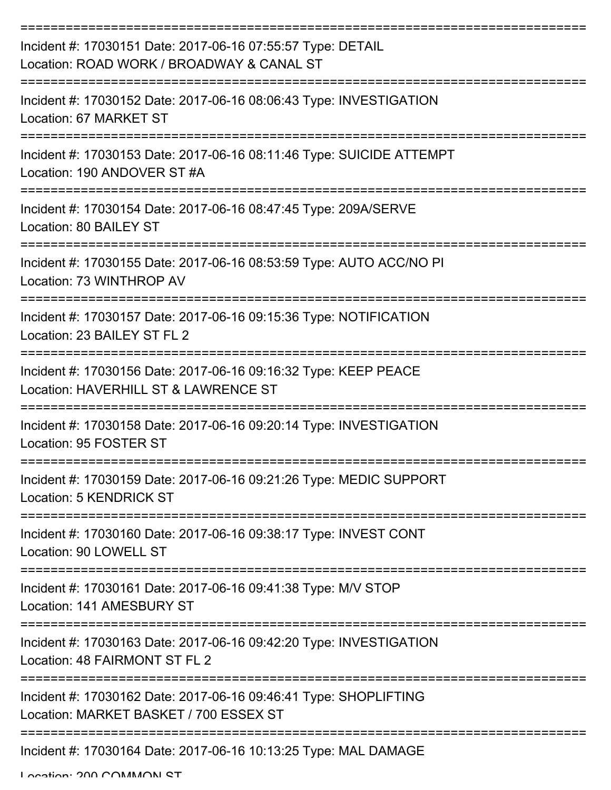| Incident #: 17030151 Date: 2017-06-16 07:55:57 Type: DETAIL<br>Location: ROAD WORK / BROADWAY & CANAL ST   |
|------------------------------------------------------------------------------------------------------------|
| Incident #: 17030152 Date: 2017-06-16 08:06:43 Type: INVESTIGATION<br>Location: 67 MARKET ST               |
| Incident #: 17030153 Date: 2017-06-16 08:11:46 Type: SUICIDE ATTEMPT<br>Location: 190 ANDOVER ST #A        |
| Incident #: 17030154 Date: 2017-06-16 08:47:45 Type: 209A/SERVE<br>Location: 80 BAILEY ST                  |
| Incident #: 17030155 Date: 2017-06-16 08:53:59 Type: AUTO ACC/NO PI<br>Location: 73 WINTHROP AV            |
| Incident #: 17030157 Date: 2017-06-16 09:15:36 Type: NOTIFICATION<br>Location: 23 BAILEY ST FL 2           |
| Incident #: 17030156 Date: 2017-06-16 09:16:32 Type: KEEP PEACE<br>Location: HAVERHILL ST & LAWRENCE ST    |
| Incident #: 17030158 Date: 2017-06-16 09:20:14 Type: INVESTIGATION<br>Location: 95 FOSTER ST               |
| Incident #: 17030159 Date: 2017-06-16 09:21:26 Type: MEDIC SUPPORT<br>Location: 5 KENDRICK ST              |
| Incident #: 17030160 Date: 2017-06-16 09:38:17 Type: INVEST CONT<br>Location: 90 LOWELL ST                 |
| Incident #: 17030161 Date: 2017-06-16 09:41:38 Type: M/V STOP<br>Location: 141 AMESBURY ST                 |
| Incident #: 17030163 Date: 2017-06-16 09:42:20 Type: INVESTIGATION<br>Location: 48 FAIRMONT ST FL 2        |
| Incident #: 17030162 Date: 2017-06-16 09:46:41 Type: SHOPLIFTING<br>Location: MARKET BASKET / 700 ESSEX ST |
| Incident #: 17030164 Date: 2017-06-16 10:13:25 Type: MAL DAMAGE                                            |

Location: 200 COMMANI CT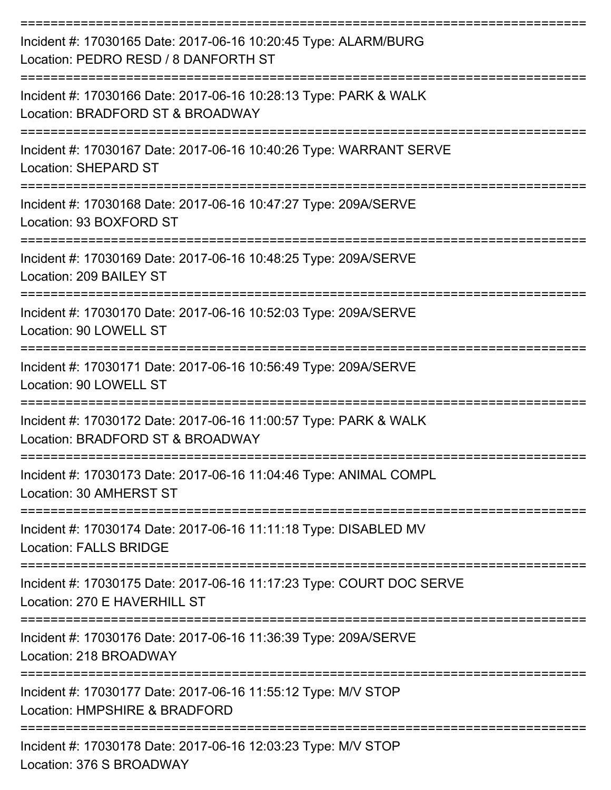| Incident #: 17030165 Date: 2017-06-16 10:20:45 Type: ALARM/BURG<br>Location: PEDRO RESD / 8 DANFORTH ST<br>:======================== |
|--------------------------------------------------------------------------------------------------------------------------------------|
| Incident #: 17030166 Date: 2017-06-16 10:28:13 Type: PARK & WALK<br>Location: BRADFORD ST & BROADWAY                                 |
| Incident #: 17030167 Date: 2017-06-16 10:40:26 Type: WARRANT SERVE<br><b>Location: SHEPARD ST</b>                                    |
| Incident #: 17030168 Date: 2017-06-16 10:47:27 Type: 209A/SERVE<br>Location: 93 BOXFORD ST<br>---------------------                  |
| Incident #: 17030169 Date: 2017-06-16 10:48:25 Type: 209A/SERVE<br>Location: 209 BAILEY ST                                           |
| Incident #: 17030170 Date: 2017-06-16 10:52:03 Type: 209A/SERVE<br>Location: 90 LOWELL ST<br>=====================                   |
| Incident #: 17030171 Date: 2017-06-16 10:56:49 Type: 209A/SERVE<br>Location: 90 LOWELL ST                                            |
| Incident #: 17030172 Date: 2017-06-16 11:00:57 Type: PARK & WALK<br>Location: BRADFORD ST & BROADWAY                                 |
| Incident #: 17030173 Date: 2017-06-16 11:04:46 Type: ANIMAL COMPL<br>Location: 30 AMHERST ST                                         |
| Incident #: 17030174 Date: 2017-06-16 11:11:18 Type: DISABLED MV<br><b>Location: FALLS BRIDGE</b>                                    |
| Incident #: 17030175 Date: 2017-06-16 11:17:23 Type: COURT DOC SERVE<br>Location: 270 E HAVERHILL ST                                 |
| Incident #: 17030176 Date: 2017-06-16 11:36:39 Type: 209A/SERVE<br>Location: 218 BROADWAY                                            |
| Incident #: 17030177 Date: 2017-06-16 11:55:12 Type: M/V STOP<br>Location: HMPSHIRE & BRADFORD                                       |
| Incident #: 17030178 Date: 2017-06-16 12:03:23 Type: M/V STOP<br>Location: 376 S BROADWAY                                            |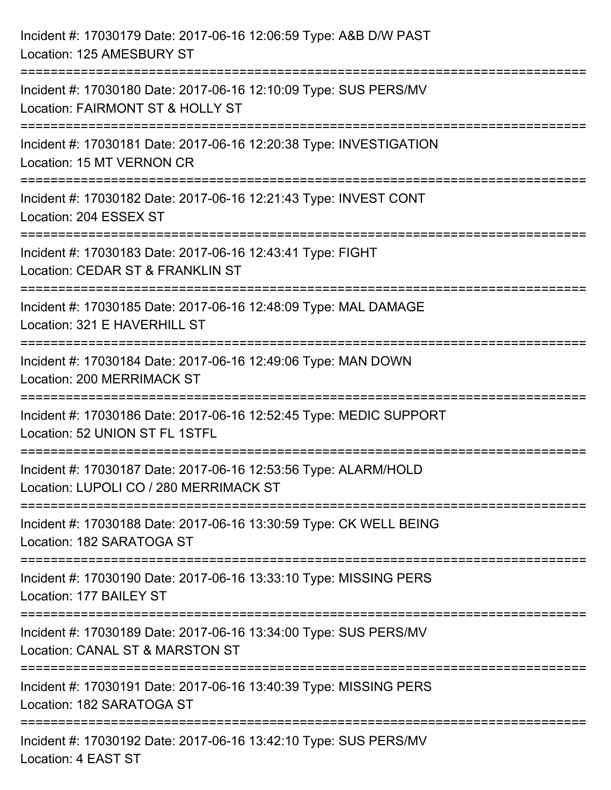| Incident #: 17030179 Date: 2017-06-16 12:06:59 Type: A&B D/W PAST<br>Location: 125 AMESBURY ST                                 |
|--------------------------------------------------------------------------------------------------------------------------------|
| Incident #: 17030180 Date: 2017-06-16 12:10:09 Type: SUS PERS/MV<br>Location: FAIRMONT ST & HOLLY ST<br>---------------------- |
| Incident #: 17030181 Date: 2017-06-16 12:20:38 Type: INVESTIGATION<br>Location: 15 MT VERNON CR                                |
| Incident #: 17030182 Date: 2017-06-16 12:21:43 Type: INVEST CONT<br>Location: 204 ESSEX ST                                     |
| Incident #: 17030183 Date: 2017-06-16 12:43:41 Type: FIGHT<br>Location: CEDAR ST & FRANKLIN ST                                 |
| Incident #: 17030185 Date: 2017-06-16 12:48:09 Type: MAL DAMAGE<br>Location: 321 E HAVERHILL ST                                |
| Incident #: 17030184 Date: 2017-06-16 12:49:06 Type: MAN DOWN<br>Location: 200 MERRIMACK ST                                    |
| Incident #: 17030186 Date: 2017-06-16 12:52:45 Type: MEDIC SUPPORT<br>Location: 52 UNION ST FL 1STFL                           |
| Incident #: 17030187 Date: 2017-06-16 12:53:56 Type: ALARM/HOLD<br>Location: LUPOLI CO / 280 MERRIMACK ST                      |
| Incident #: 17030188 Date: 2017-06-16 13:30:59 Type: CK WELL BEING<br>Location: 182 SARATOGA ST                                |
| Incident #: 17030190 Date: 2017-06-16 13:33:10 Type: MISSING PERS<br>Location: 177 BAILEY ST                                   |
| Incident #: 17030189 Date: 2017-06-16 13:34:00 Type: SUS PERS/MV<br>Location: CANAL ST & MARSTON ST                            |
| Incident #: 17030191 Date: 2017-06-16 13:40:39 Type: MISSING PERS<br>Location: 182 SARATOGA ST                                 |
| Incident #: 17030192 Date: 2017-06-16 13:42:10 Type: SUS PERS/MV<br>Location: 4 EAST ST                                        |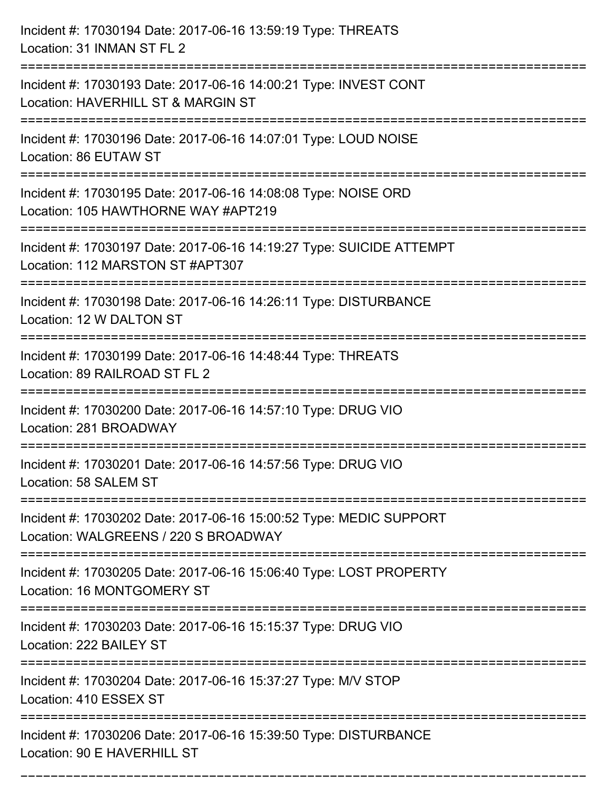| Incident #: 17030194 Date: 2017-06-16 13:59:19 Type: THREATS<br>Location: 31 INMAN ST FL 2                                                      |
|-------------------------------------------------------------------------------------------------------------------------------------------------|
| Incident #: 17030193 Date: 2017-06-16 14:00:21 Type: INVEST CONT<br>Location: HAVERHILL ST & MARGIN ST                                          |
| Incident #: 17030196 Date: 2017-06-16 14:07:01 Type: LOUD NOISE<br>Location: 86 EUTAW ST                                                        |
| Incident #: 17030195 Date: 2017-06-16 14:08:08 Type: NOISE ORD<br>Location: 105 HAWTHORNE WAY #APT219                                           |
| Incident #: 17030197 Date: 2017-06-16 14:19:27 Type: SUICIDE ATTEMPT<br>Location: 112 MARSTON ST #APT307                                        |
| Incident #: 17030198 Date: 2017-06-16 14:26:11 Type: DISTURBANCE<br>Location: 12 W DALTON ST                                                    |
| Incident #: 17030199 Date: 2017-06-16 14:48:44 Type: THREATS<br>Location: 89 RAILROAD ST FL 2                                                   |
| Incident #: 17030200 Date: 2017-06-16 14:57:10 Type: DRUG VIO<br>Location: 281 BROADWAY                                                         |
| Incident #: 17030201 Date: 2017-06-16 14:57:56 Type: DRUG VIO<br>Location: 58 SALEM ST                                                          |
| Incident #: 17030202 Date: 2017-06-16 15:00:52 Type: MEDIC SUPPORT<br>Location: WALGREENS / 220 S BROADWAY<br>================================= |
| Incident #: 17030205 Date: 2017-06-16 15:06:40 Type: LOST PROPERTY<br>Location: 16 MONTGOMERY ST                                                |
| Incident #: 17030203 Date: 2017-06-16 15:15:37 Type: DRUG VIO<br>Location: 222 BAILEY ST                                                        |
| Incident #: 17030204 Date: 2017-06-16 15:37:27 Type: M/V STOP<br>Location: 410 ESSEX ST                                                         |
| ______________________<br>Incident #: 17030206 Date: 2017-06-16 15:39:50 Type: DISTURBANCE<br>Location: 90 E HAVERHILL ST                       |

===========================================================================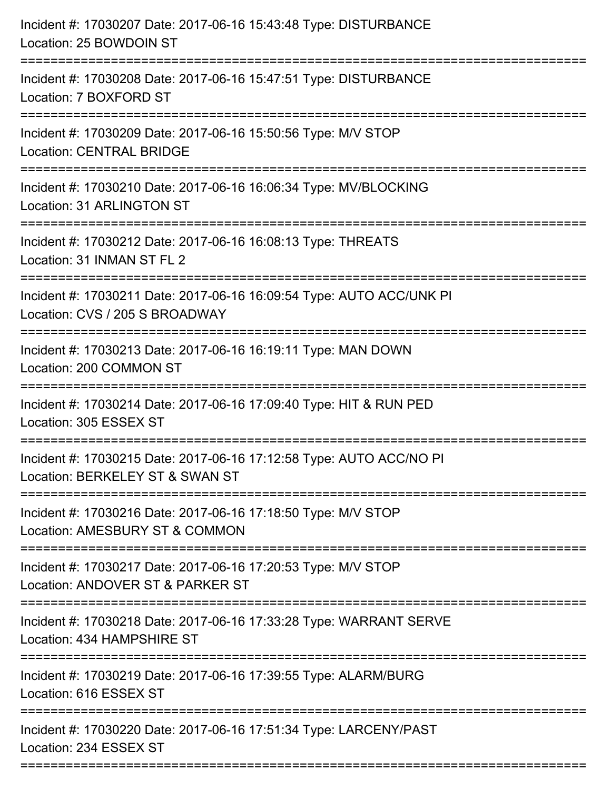| Incident #: 17030207 Date: 2017-06-16 15:43:48 Type: DISTURBANCE<br>Location: 25 BOWDOIN ST                                  |
|------------------------------------------------------------------------------------------------------------------------------|
| Incident #: 17030208 Date: 2017-06-16 15:47:51 Type: DISTURBANCE<br>Location: 7 BOXFORD ST                                   |
| Incident #: 17030209 Date: 2017-06-16 15:50:56 Type: M/V STOP<br><b>Location: CENTRAL BRIDGE</b><br>======================   |
| Incident #: 17030210 Date: 2017-06-16 16:06:34 Type: MV/BLOCKING<br>Location: 31 ARLINGTON ST                                |
| Incident #: 17030212 Date: 2017-06-16 16:08:13 Type: THREATS<br>Location: 31 INMAN ST FL 2                                   |
| Incident #: 17030211 Date: 2017-06-16 16:09:54 Type: AUTO ACC/UNK PI<br>Location: CVS / 205 S BROADWAY                       |
| Incident #: 17030213 Date: 2017-06-16 16:19:11 Type: MAN DOWN<br>Location: 200 COMMON ST<br>-------------------------------- |
| Incident #: 17030214 Date: 2017-06-16 17:09:40 Type: HIT & RUN PED<br>Location: 305 ESSEX ST                                 |
| Incident #: 17030215 Date: 2017-06-16 17:12:58 Type: AUTO ACC/NO PI<br>Location: BERKELEY ST & SWAN ST                       |
| Incident #: 17030216 Date: 2017-06-16 17:18:50 Type: M/V STOP<br>Location: AMESBURY ST & COMMON                              |
| Incident #: 17030217 Date: 2017-06-16 17:20:53 Type: M/V STOP<br>Location: ANDOVER ST & PARKER ST<br>:====================== |
| Incident #: 17030218 Date: 2017-06-16 17:33:28 Type: WARRANT SERVE<br>Location: 434 HAMPSHIRE ST                             |
| Incident #: 17030219 Date: 2017-06-16 17:39:55 Type: ALARM/BURG<br>Location: 616 ESSEX ST                                    |
| Incident #: 17030220 Date: 2017-06-16 17:51:34 Type: LARCENY/PAST<br>Location: 234 ESSEX ST                                  |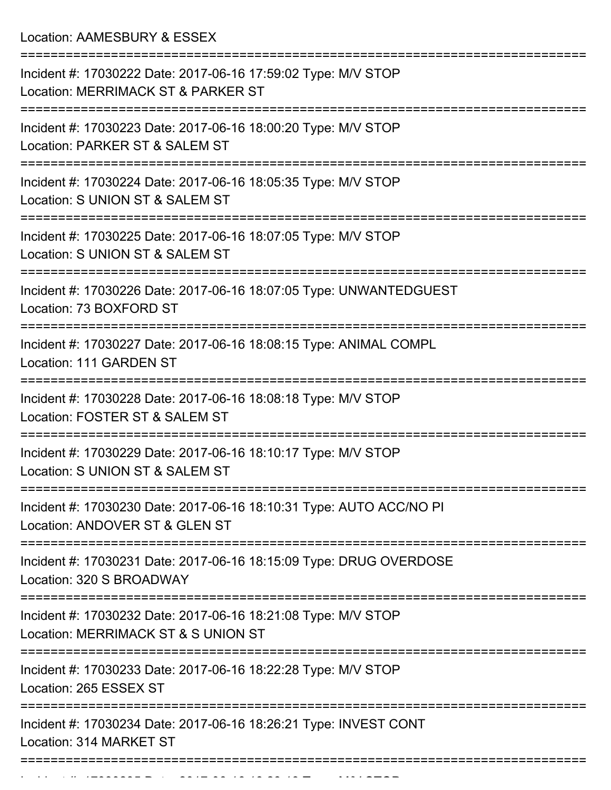Location: AAMESBURY & ESSEX

| Incident #: 17030222 Date: 2017-06-16 17:59:02 Type: M/V STOP<br>Location: MERRIMACK ST & PARKER ST                      |
|--------------------------------------------------------------------------------------------------------------------------|
| Incident #: 17030223 Date: 2017-06-16 18:00:20 Type: M/V STOP<br>Location: PARKER ST & SALEM ST                          |
| Incident #: 17030224 Date: 2017-06-16 18:05:35 Type: M/V STOP<br>Location: S UNION ST & SALEM ST                         |
| Incident #: 17030225 Date: 2017-06-16 18:07:05 Type: M/V STOP<br>Location: S UNION ST & SALEM ST                         |
| Incident #: 17030226 Date: 2017-06-16 18:07:05 Type: UNWANTEDGUEST<br>Location: 73 BOXFORD ST                            |
| Incident #: 17030227 Date: 2017-06-16 18:08:15 Type: ANIMAL COMPL<br>Location: 111 GARDEN ST                             |
| Incident #: 17030228 Date: 2017-06-16 18:08:18 Type: M/V STOP<br>Location: FOSTER ST & SALEM ST                          |
| Incident #: 17030229 Date: 2017-06-16 18:10:17 Type: M/V STOP<br>Location: S UNION ST & SALEM ST                         |
| Incident #: 17030230 Date: 2017-06-16 18:10:31 Type: AUTO ACC/NO PI<br>Location: ANDOVER ST & GLEN ST                    |
| ======================<br>Incident #: 17030231 Date: 2017-06-16 18:15:09 Type: DRUG OVERDOSE<br>Location: 320 S BROADWAY |
| Incident #: 17030232 Date: 2017-06-16 18:21:08 Type: M/V STOP<br>Location: MERRIMACK ST & S UNION ST                     |
| Incident #: 17030233 Date: 2017-06-16 18:22:28 Type: M/V STOP<br>Location: 265 ESSEX ST                                  |
| Incident #: 17030234 Date: 2017-06-16 18:26:21 Type: INVEST CONT<br>Location: 314 MARKET ST                              |
|                                                                                                                          |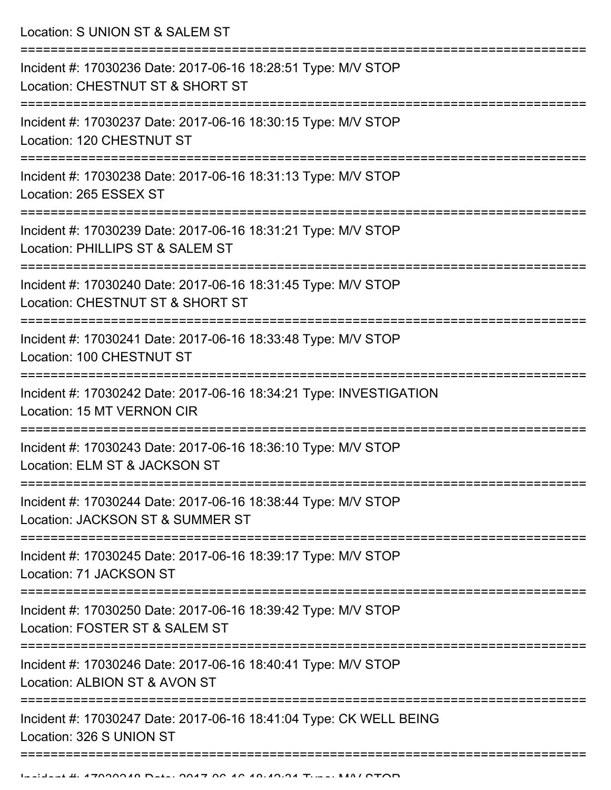Location: S UNION ST & SALEM ST

| Incident #: 17030236 Date: 2017-06-16 18:28:51 Type: M/V STOP<br>Location: CHESTNUT ST & SHORT ST       |
|---------------------------------------------------------------------------------------------------------|
| Incident #: 17030237 Date: 2017-06-16 18:30:15 Type: M/V STOP<br>Location: 120 CHESTNUT ST              |
| Incident #: 17030238 Date: 2017-06-16 18:31:13 Type: M/V STOP<br>Location: 265 ESSEX ST                 |
| Incident #: 17030239 Date: 2017-06-16 18:31:21 Type: M/V STOP<br>Location: PHILLIPS ST & SALEM ST       |
| Incident #: 17030240 Date: 2017-06-16 18:31:45 Type: M/V STOP<br>Location: CHESTNUT ST & SHORT ST       |
| Incident #: 17030241 Date: 2017-06-16 18:33:48 Type: M/V STOP<br>Location: 100 CHESTNUT ST              |
| Incident #: 17030242 Date: 2017-06-16 18:34:21 Type: INVESTIGATION<br><b>Location: 15 MT VERNON CIR</b> |
| Incident #: 17030243 Date: 2017-06-16 18:36:10 Type: M/V STOP<br>Location: ELM ST & JACKSON ST          |
| Incident #: 17030244 Date: 2017-06-16 18:38:44 Type: M/V STOP<br>Location: JACKSON ST & SUMMER ST       |
| Incident #: 17030245 Date: 2017-06-16 18:39:17 Type: M/V STOP<br>Location: 71 JACKSON ST                |
| Incident #: 17030250 Date: 2017-06-16 18:39:42 Type: M/V STOP<br>Location: FOSTER ST & SALEM ST         |
| Incident #: 17030246 Date: 2017-06-16 18:40:41 Type: M/V STOP<br>Location: ALBION ST & AVON ST          |
| Incident #: 17030247 Date: 2017-06-16 18:41:04 Type: CK WELL BEING<br>Location: 326 S UNION ST          |
|                                                                                                         |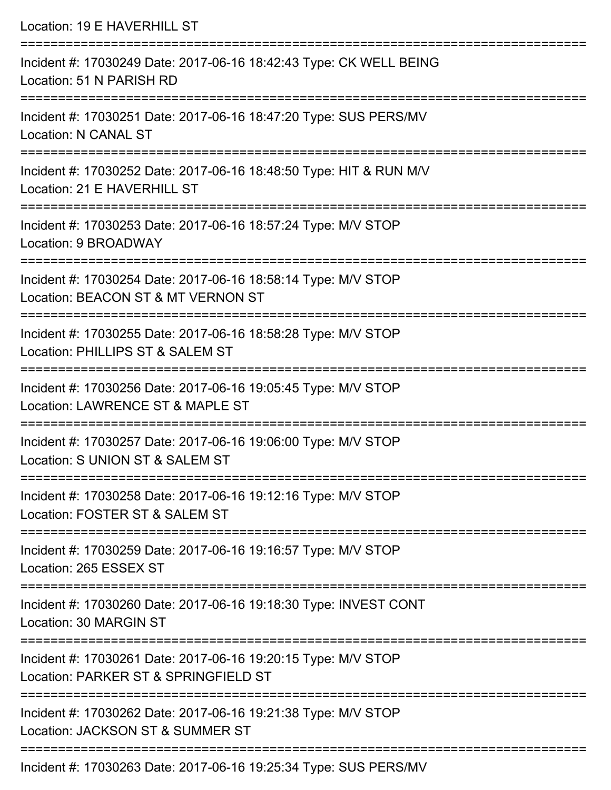| Location: 19 E HAVERHILL ST                                                                                                                 |
|---------------------------------------------------------------------------------------------------------------------------------------------|
| Incident #: 17030249 Date: 2017-06-16 18:42:43 Type: CK WELL BEING<br>Location: 51 N PARISH RD                                              |
| Incident #: 17030251 Date: 2017-06-16 18:47:20 Type: SUS PERS/MV<br><b>Location: N CANAL ST</b>                                             |
| Incident #: 17030252 Date: 2017-06-16 18:48:50 Type: HIT & RUN M/V<br>Location: 21 E HAVERHILL ST                                           |
| Incident #: 17030253 Date: 2017-06-16 18:57:24 Type: M/V STOP<br>Location: 9 BROADWAY                                                       |
| :===================================<br>Incident #: 17030254 Date: 2017-06-16 18:58:14 Type: M/V STOP<br>Location: BEACON ST & MT VERNON ST |
| Incident #: 17030255 Date: 2017-06-16 18:58:28 Type: M/V STOP<br>Location: PHILLIPS ST & SALEM ST                                           |
| Incident #: 17030256 Date: 2017-06-16 19:05:45 Type: M/V STOP<br>Location: LAWRENCE ST & MAPLE ST                                           |
| Incident #: 17030257 Date: 2017-06-16 19:06:00 Type: M/V STOP<br>Location: S UNION ST & SALEM ST                                            |
| Incident #: 17030258 Date: 2017-06-16 19:12:16 Type: M/V STOP<br>Location: FOSTER ST & SALEM ST                                             |
| Incident #: 17030259 Date: 2017-06-16 19:16:57 Type: M/V STOP<br>Location: 265 ESSEX ST                                                     |
| Incident #: 17030260 Date: 2017-06-16 19:18:30 Type: INVEST CONT<br>Location: 30 MARGIN ST                                                  |
| Incident #: 17030261 Date: 2017-06-16 19:20:15 Type: M/V STOP<br>Location: PARKER ST & SPRINGFIELD ST                                       |
| Incident #: 17030262 Date: 2017-06-16 19:21:38 Type: M/V STOP<br>Location: JACKSON ST & SUMMER ST                                           |
| Incident #: 17030263 Date: 2017-06-16 19:25:34 Type: SUS PERS/MV                                                                            |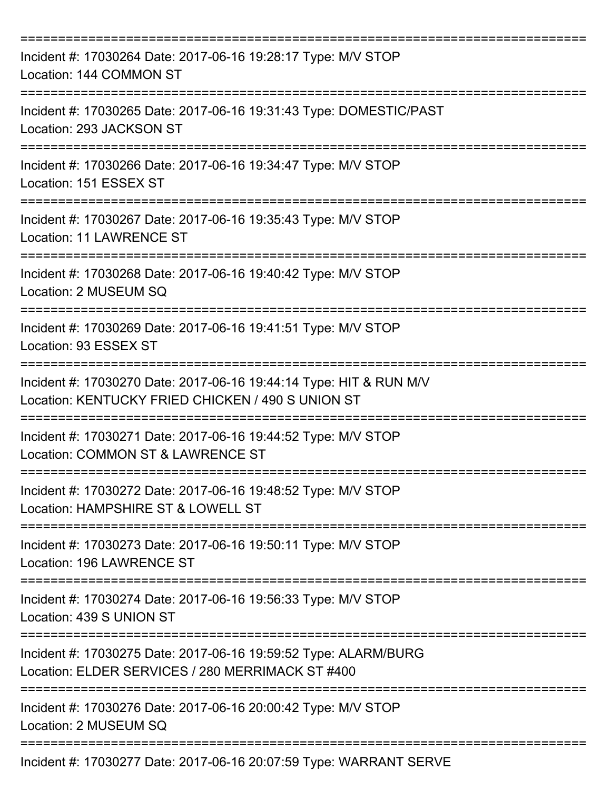| Incident #: 17030264 Date: 2017-06-16 19:28:17 Type: M/V STOP<br>Location: 144 COMMON ST                                |
|-------------------------------------------------------------------------------------------------------------------------|
| Incident #: 17030265 Date: 2017-06-16 19:31:43 Type: DOMESTIC/PAST<br>Location: 293 JACKSON ST                          |
| Incident #: 17030266 Date: 2017-06-16 19:34:47 Type: M/V STOP<br>Location: 151 ESSEX ST                                 |
| Incident #: 17030267 Date: 2017-06-16 19:35:43 Type: M/V STOP<br>Location: 11 LAWRENCE ST                               |
| Incident #: 17030268 Date: 2017-06-16 19:40:42 Type: M/V STOP<br>Location: 2 MUSEUM SQ                                  |
| Incident #: 17030269 Date: 2017-06-16 19:41:51 Type: M/V STOP<br>Location: 93 ESSEX ST                                  |
| Incident #: 17030270 Date: 2017-06-16 19:44:14 Type: HIT & RUN M/V<br>Location: KENTUCKY FRIED CHICKEN / 490 S UNION ST |
| Incident #: 17030271 Date: 2017-06-16 19:44:52 Type: M/V STOP<br>Location: COMMON ST & LAWRENCE ST                      |
| Incident #: 17030272 Date: 2017-06-16 19:48:52 Type: M/V STOP<br>Location: HAMPSHIRE ST & LOWELL ST                     |
| Incident #: 17030273 Date: 2017-06-16 19:50:11 Type: M/V STOP<br>Location: 196 LAWRENCE ST                              |
| Incident #: 17030274 Date: 2017-06-16 19:56:33 Type: M/V STOP<br>Location: 439 S UNION ST                               |
| Incident #: 17030275 Date: 2017-06-16 19:59:52 Type: ALARM/BURG<br>Location: ELDER SERVICES / 280 MERRIMACK ST #400     |
| Incident #: 17030276 Date: 2017-06-16 20:00:42 Type: M/V STOP<br>Location: 2 MUSEUM SQ                                  |
| Incident #: 17030277 Date: 2017-06-16 20:07:59 Type: WARRANT SERVE                                                      |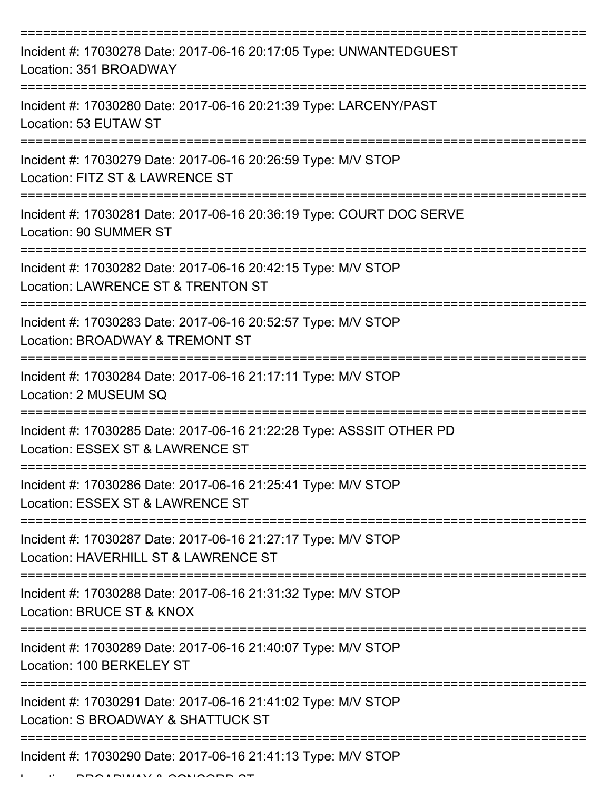| Incident #: 17030278 Date: 2017-06-16 20:17:05 Type: UNWANTEDGUEST<br>Location: 351 BROADWAY             |
|----------------------------------------------------------------------------------------------------------|
| Incident #: 17030280 Date: 2017-06-16 20:21:39 Type: LARCENY/PAST<br>Location: 53 EUTAW ST               |
| Incident #: 17030279 Date: 2017-06-16 20:26:59 Type: M/V STOP<br>Location: FITZ ST & LAWRENCE ST         |
| Incident #: 17030281 Date: 2017-06-16 20:36:19 Type: COURT DOC SERVE<br><b>Location: 90 SUMMER ST</b>    |
| Incident #: 17030282 Date: 2017-06-16 20:42:15 Type: M/V STOP<br>Location: LAWRENCE ST & TRENTON ST      |
| Incident #: 17030283 Date: 2017-06-16 20:52:57 Type: M/V STOP<br>Location: BROADWAY & TREMONT ST         |
| Incident #: 17030284 Date: 2017-06-16 21:17:11 Type: M/V STOP<br>Location: 2 MUSEUM SQ                   |
| Incident #: 17030285 Date: 2017-06-16 21:22:28 Type: ASSSIT OTHER PD<br>Location: ESSEX ST & LAWRENCE ST |
| Incident #: 17030286 Date: 2017-06-16 21:25:41 Type: M/V STOP<br>Location: ESSEX ST & LAWRENCE ST        |
| Incident #: 17030287 Date: 2017-06-16 21:27:17 Type: M/V STOP<br>Location: HAVERHILL ST & LAWRENCE ST    |
| Incident #: 17030288 Date: 2017-06-16 21:31:32 Type: M/V STOP<br>Location: BRUCE ST & KNOX               |
| Incident #: 17030289 Date: 2017-06-16 21:40:07 Type: M/V STOP<br>Location: 100 BERKELEY ST               |
| Incident #: 17030291 Date: 2017-06-16 21:41:02 Type: M/V STOP<br>Location: S BROADWAY & SHATTUCK ST      |
| Incident #: 17030290 Date: 2017-06-16 21:41:13 Type: M/V STOP                                            |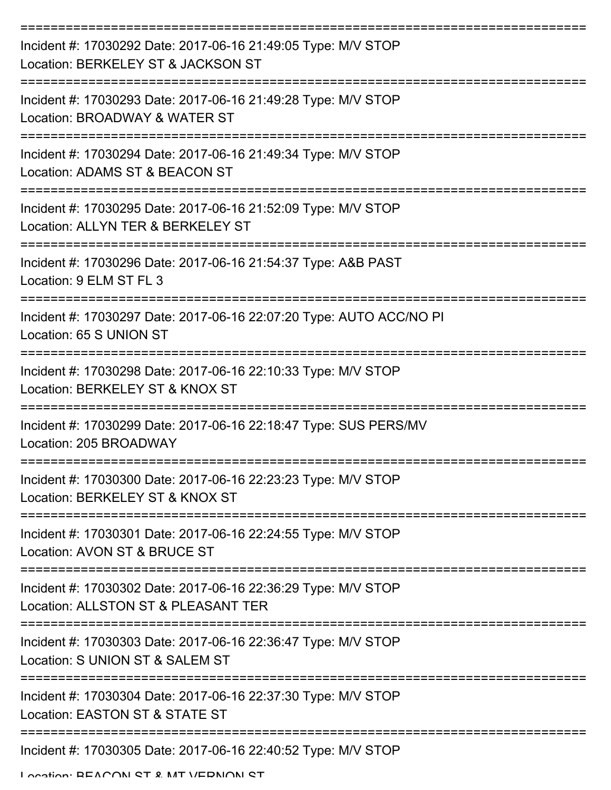| Incident #: 17030292 Date: 2017-06-16 21:49:05 Type: M/V STOP<br>Location: BERKELEY ST & JACKSON ST  |
|------------------------------------------------------------------------------------------------------|
| Incident #: 17030293 Date: 2017-06-16 21:49:28 Type: M/V STOP<br>Location: BROADWAY & WATER ST       |
| Incident #: 17030294 Date: 2017-06-16 21:49:34 Type: M/V STOP<br>Location: ADAMS ST & BEACON ST      |
| Incident #: 17030295 Date: 2017-06-16 21:52:09 Type: M/V STOP<br>Location: ALLYN TER & BERKELEY ST   |
| Incident #: 17030296 Date: 2017-06-16 21:54:37 Type: A&B PAST<br>Location: 9 ELM ST FL 3             |
| Incident #: 17030297 Date: 2017-06-16 22:07:20 Type: AUTO ACC/NO PI<br>Location: 65 S UNION ST       |
| Incident #: 17030298 Date: 2017-06-16 22:10:33 Type: M/V STOP<br>Location: BERKELEY ST & KNOX ST     |
| Incident #: 17030299 Date: 2017-06-16 22:18:47 Type: SUS PERS/MV<br>Location: 205 BROADWAY           |
| Incident #: 17030300 Date: 2017-06-16 22:23:23 Type: M/V STOP<br>Location: BERKELEY ST & KNOX ST     |
| Incident #: 17030301 Date: 2017-06-16 22:24:55 Type: M/V STOP<br>Location: AVON ST & BRUCE ST        |
| Incident #: 17030302 Date: 2017-06-16 22:36:29 Type: M/V STOP<br>Location: ALLSTON ST & PLEASANT TER |
| Incident #: 17030303 Date: 2017-06-16 22:36:47 Type: M/V STOP<br>Location: S UNION ST & SALEM ST     |
| Incident #: 17030304 Date: 2017-06-16 22:37:30 Type: M/V STOP<br>Location: EASTON ST & STATE ST      |
| Incident #: 17030305 Date: 2017-06-16 22:40:52 Type: M/V STOP                                        |